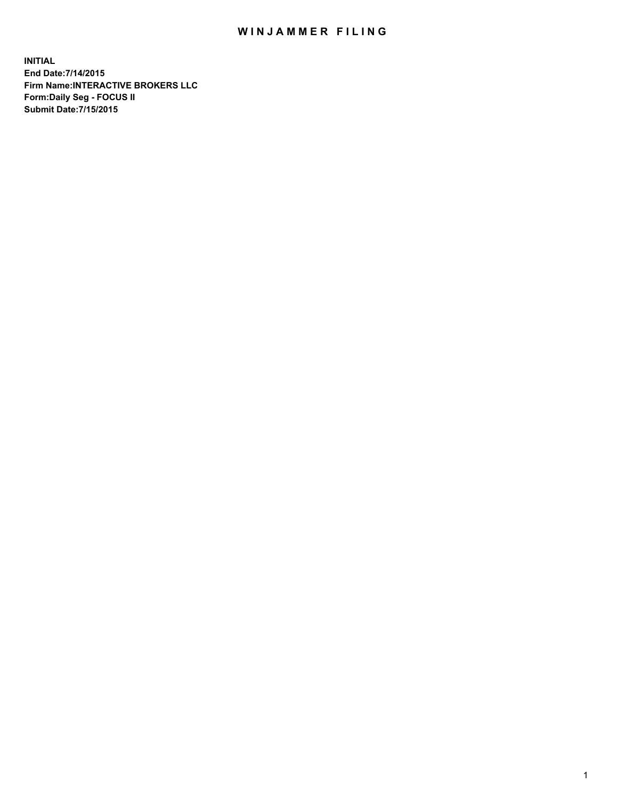## WIN JAMMER FILING

**INITIAL End Date:7/14/2015 Firm Name:INTERACTIVE BROKERS LLC Form:Daily Seg - FOCUS II Submit Date:7/15/2015**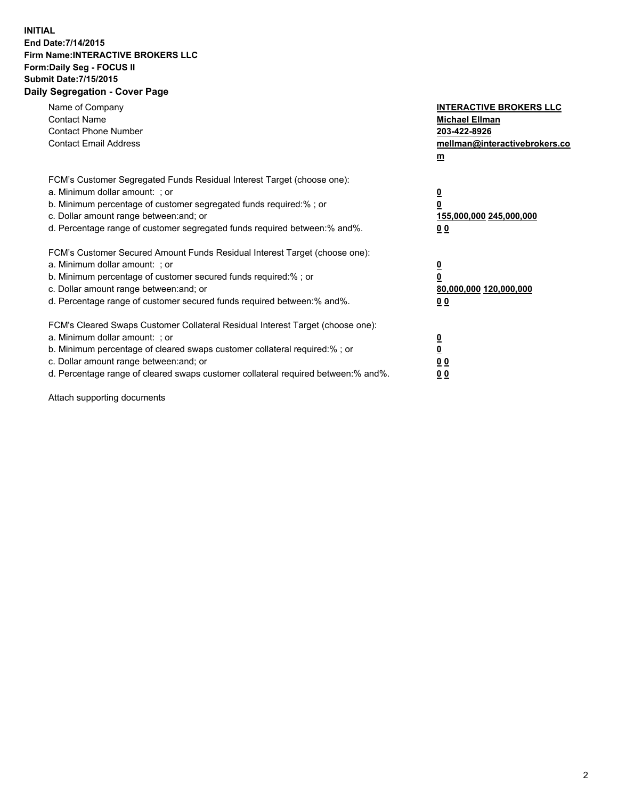## **INITIAL End Date:7/14/2015 Firm Name:INTERACTIVE BROKERS LLC Form:Daily Seg - FOCUS II Submit Date:7/15/2015 Daily Segregation - Cover Page**

| Name of Company<br><b>Contact Name</b><br><b>Contact Phone Number</b><br><b>Contact Email Address</b>                                                                                                                                                                                                                          | <b>INTERACTIVE BROKERS LLC</b><br><b>Michael Ellman</b><br>203-422-8926<br>mellman@interactivebrokers.co<br>$\underline{\mathbf{m}}$ |
|--------------------------------------------------------------------------------------------------------------------------------------------------------------------------------------------------------------------------------------------------------------------------------------------------------------------------------|--------------------------------------------------------------------------------------------------------------------------------------|
| FCM's Customer Segregated Funds Residual Interest Target (choose one):<br>a. Minimum dollar amount: ; or<br>b. Minimum percentage of customer segregated funds required:%; or<br>c. Dollar amount range between: and; or<br>d. Percentage range of customer segregated funds required between:% and%.                          | $\overline{\mathbf{0}}$<br>$\overline{\mathbf{0}}$<br>155,000,000 245,000,000<br>00                                                  |
| FCM's Customer Secured Amount Funds Residual Interest Target (choose one):<br>a. Minimum dollar amount: ; or<br>b. Minimum percentage of customer secured funds required:%; or<br>c. Dollar amount range between: and; or<br>d. Percentage range of customer secured funds required between: % and %.                          | $\overline{\mathbf{0}}$<br>$\mathbf 0$<br>80,000,000 120,000,000<br>00                                                               |
| FCM's Cleared Swaps Customer Collateral Residual Interest Target (choose one):<br>a. Minimum dollar amount: ; or<br>b. Minimum percentage of cleared swaps customer collateral required:% ; or<br>c. Dollar amount range between: and; or<br>d. Percentage range of cleared swaps customer collateral required between:% and%. | $\overline{\mathbf{0}}$<br>$\overline{\mathbf{0}}$<br>0 <sub>0</sub><br>0 <sub>0</sub>                                               |

Attach supporting documents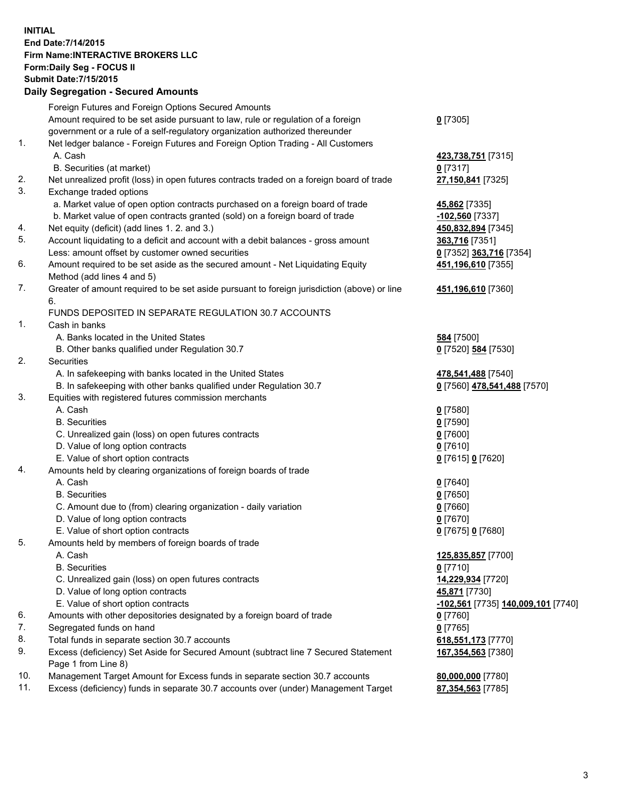## **INITIAL End Date:7/14/2015 Firm Name:INTERACTIVE BROKERS LLC Form:Daily Seg - FOCUS II Submit Date:7/15/2015 Daily Segregation - Secured Amounts**

|                | Daily Segregation - Secured Amounts                                                         |                                    |
|----------------|---------------------------------------------------------------------------------------------|------------------------------------|
|                | Foreign Futures and Foreign Options Secured Amounts                                         |                                    |
|                | Amount required to be set aside pursuant to law, rule or regulation of a foreign            | $0$ [7305]                         |
|                | government or a rule of a self-regulatory organization authorized thereunder                |                                    |
| 1.             | Net ledger balance - Foreign Futures and Foreign Option Trading - All Customers             |                                    |
|                | A. Cash                                                                                     | 423,738,751 [7315]                 |
|                | B. Securities (at market)                                                                   | $0$ [7317]                         |
| 2.             | Net unrealized profit (loss) in open futures contracts traded on a foreign board of trade   | 27,150,841 [7325]                  |
| 3.             | Exchange traded options                                                                     |                                    |
|                | a. Market value of open option contracts purchased on a foreign board of trade              | 45,862 [7335]                      |
|                | b. Market value of open contracts granted (sold) on a foreign board of trade                | $-102,560$ [7337]                  |
| 4.             | Net equity (deficit) (add lines 1.2. and 3.)                                                | 450,832,894 [7345]                 |
| 5.             | Account liquidating to a deficit and account with a debit balances - gross amount           | 363,716 [7351]                     |
|                | Less: amount offset by customer owned securities                                            | 0 [7352] 363,716 [7354]            |
| 6.             | Amount required to be set aside as the secured amount - Net Liquidating Equity              | 451,196,610 [7355]                 |
|                | Method (add lines 4 and 5)                                                                  |                                    |
| 7.             | Greater of amount required to be set aside pursuant to foreign jurisdiction (above) or line | 451,196,610 [7360]                 |
|                | 6.                                                                                          |                                    |
|                | FUNDS DEPOSITED IN SEPARATE REGULATION 30.7 ACCOUNTS                                        |                                    |
| $\mathbf{1}$ . | Cash in banks                                                                               |                                    |
|                | A. Banks located in the United States                                                       | <b>584</b> [7500]                  |
|                | B. Other banks qualified under Regulation 30.7                                              |                                    |
| 2.             | Securities                                                                                  | 0 [7520] 584 [7530]                |
|                |                                                                                             |                                    |
|                | A. In safekeeping with banks located in the United States                                   | 478,541,488 [7540]                 |
| 3.             | B. In safekeeping with other banks qualified under Regulation 30.7                          | 0 [7560] 478,541,488 [7570]        |
|                | Equities with registered futures commission merchants                                       |                                    |
|                | A. Cash                                                                                     | $0$ [7580]                         |
|                | <b>B.</b> Securities                                                                        | $0$ [7590]                         |
|                | C. Unrealized gain (loss) on open futures contracts                                         | $0$ [7600]                         |
|                | D. Value of long option contracts                                                           | $0$ [7610]                         |
|                | E. Value of short option contracts                                                          | 0 [7615] 0 [7620]                  |
| 4.             | Amounts held by clearing organizations of foreign boards of trade                           |                                    |
|                | A. Cash                                                                                     | $0$ [7640]                         |
|                | <b>B.</b> Securities                                                                        | $0$ [7650]                         |
|                | C. Amount due to (from) clearing organization - daily variation                             | $0$ [7660]                         |
|                | D. Value of long option contracts                                                           | $0$ [7670]                         |
|                | E. Value of short option contracts                                                          | 0 [7675] 0 [7680]                  |
| 5.             | Amounts held by members of foreign boards of trade                                          |                                    |
|                | A. Cash                                                                                     | 125,835,857 [7700]                 |
|                | <b>B.</b> Securities                                                                        | $0$ [7710]                         |
|                | C. Unrealized gain (loss) on open futures contracts                                         | 14,229,934 [7720]                  |
|                | D. Value of long option contracts                                                           | 45,871 [7730]                      |
|                | E. Value of short option contracts                                                          | -102,561 [7735] 140,009,101 [7740] |
| 6.             | Amounts with other depositories designated by a foreign board of trade                      | 0 [7760]                           |
| 7.             | Segregated funds on hand                                                                    | $0$ [7765]                         |
| 8.             | Total funds in separate section 30.7 accounts                                               | 618,551,173 [7770]                 |
| 9.             | Excess (deficiency) Set Aside for Secured Amount (subtract line 7 Secured Statement         | 167,354,563 [7380]                 |
|                | Page 1 from Line 8)                                                                         |                                    |
| 10.            | Management Target Amount for Excess funds in separate section 30.7 accounts                 | 80,000,000 [7780]                  |
| 11.            | Excess (deficiency) funds in separate 30.7 accounts over (under) Management Target          | 87,354,563 [7785]                  |
|                |                                                                                             |                                    |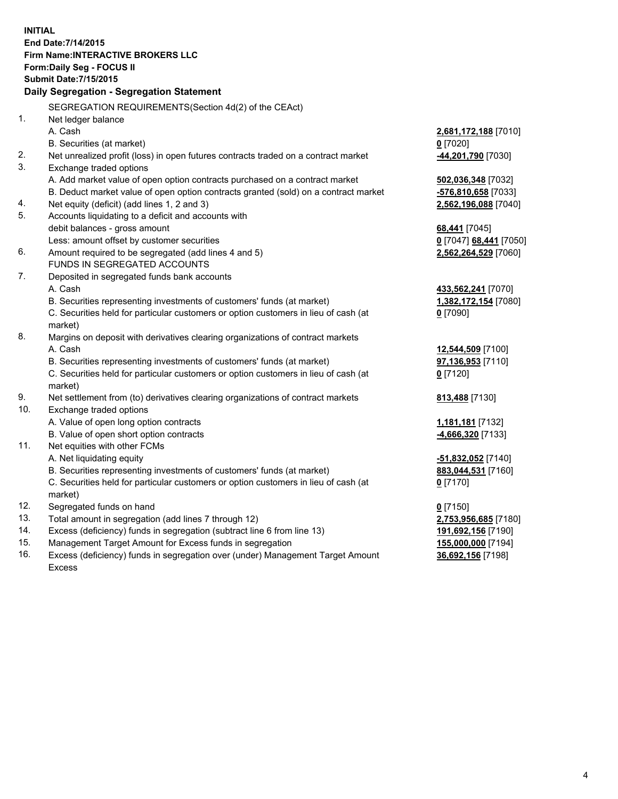**INITIAL End Date:7/14/2015 Firm Name:INTERACTIVE BROKERS LLC Form:Daily Seg - FOCUS II Submit Date:7/15/2015 Daily Segregation - Segregation Statement** SEGREGATION REQUIREMENTS(Section 4d(2) of the CEAct) 1. Net ledger balance A. Cash **2,681,172,188** [7010] B. Securities (at market) **0** [7020] 2. Net unrealized profit (loss) in open futures contracts traded on a contract market **-44,201,790** [7030] 3. Exchange traded options A. Add market value of open option contracts purchased on a contract market **502,036,348** [7032] B. Deduct market value of open option contracts granted (sold) on a contract market **-576,810,658** [7033] 4. Net equity (deficit) (add lines 1, 2 and 3) **2,562,196,088** [7040] 5. Accounts liquidating to a deficit and accounts with debit balances - gross amount **68,441** [7045] Less: amount offset by customer securities **0** [7047] **68,441** [7050] 6. Amount required to be segregated (add lines 4 and 5) **2,562,264,529** [7060] FUNDS IN SEGREGATED ACCOUNTS 7. Deposited in segregated funds bank accounts A. Cash **433,562,241** [7070] B. Securities representing investments of customers' funds (at market) **1,382,172,154** [7080] C. Securities held for particular customers or option customers in lieu of cash (at market) **0** [7090] 8. Margins on deposit with derivatives clearing organizations of contract markets A. Cash **12,544,509** [7100] B. Securities representing investments of customers' funds (at market) **97,136,953** [7110] C. Securities held for particular customers or option customers in lieu of cash (at market) **0** [7120] 9. Net settlement from (to) derivatives clearing organizations of contract markets **813,488** [7130] 10. Exchange traded options A. Value of open long option contracts **1,181,181** [7132] B. Value of open short option contracts **-4,666,320** [7133] 11. Net equities with other FCMs A. Net liquidating equity **-51,832,052** [7140] B. Securities representing investments of customers' funds (at market) **883,044,531** [7160] C. Securities held for particular customers or option customers in lieu of cash (at market) **0** [7170] 12. Segregated funds on hand **0** [7150] 13. Total amount in segregation (add lines 7 through 12) **2,753,956,685** [7180] 14. Excess (deficiency) funds in segregation (subtract line 6 from line 13) **191,692,156** [7190] 15. Management Target Amount for Excess funds in segregation **155,000,000** [7194]

16. Excess (deficiency) funds in segregation over (under) Management Target Amount Excess

**36,692,156** [7198]